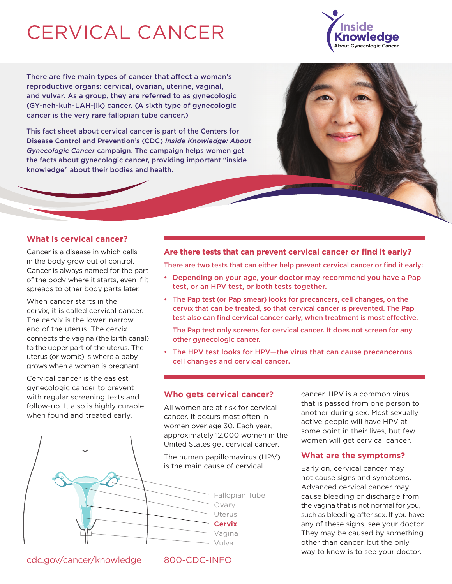# CERVICAL CANCER

There are five main types of cancer that affect a woman's reproductive organs: cervical, ovarian, uterine, vaginal, and vulvar. As a group, they are referred to as gynecologic (GY-neh-kuh-LAH-jik) cancer. (A sixth type of gynecologic cancer is the very rare fallopian tube cancer.)

This fact sheet about cervical cancer is part of the Centers for Disease Control and Prevention's (CDC) *Inside Knowledge: About Gynecologic Cancer* campaign. The campaign helps women get the facts about gynecologic cancer, providing important "inside knowledge" about their bodies and health.

#### **What is cervical cancer?**

Cancer is a disease in which cells in the body grow out of control. Cancer is always named for the part of the body where it starts, even if it spreads to other body parts later.

When cancer starts in the cervix, it is called cervical cancer. The cervix is the lower, narrow end of the uterus. The cervix connects the vagina (the birth canal) to the upper part of the uterus. The uterus (or womb) is where a baby grows when a woman is pregnant.

Cervical cancer is the easiest gynecologic cancer to prevent with regular screening tests and follow-up. It also is highly curable when found and treated early.



There are two tests that can either help prevent cervical cancer or find it early:

- Depending on your age, your doctor may recommend you have a Pap test, or an HPV test, or both tests together.
- The Pap test (or Pap smear) looks for precancers, cell changes, on the cervix that can be treated, so that cervical cancer is prevented. The Pap test also can find cervical cancer early, when treatment is most effective.

 The Pap test only screens for cervical cancer. It does not screen for any other gynecologic cancer.

• The HPV test looks for HPV—the virus that can cause precancerous cell changes and cervical cancer.

#### **Who gets cervical cancer?**

All women are at risk for cervical cancer. It occurs most often in women over age 30. Each year, approximately 12,000 women in the United States get cervical cancer.

The human papillomavirus (HPV) is the main cause of cervical

that is passed from one person to another during sex. Most sexually active people will have HPV at some point in their lives, but few women will get cervical cancer.

cancer. HPV is a common virus

#### **What are the symptoms?**

Early on, cervical cancer may not cause signs and symptoms. Advanced cervical cancer may cause bleeding or discharge from the vagina that is not normal for you, such as bleeding after sex. If you have any of these signs, see your doctor. They may be caused by something other than cancer, but the only way to know is to see your doctor.





Vulva

#### Uterus **Cervix**

Vagina

Ovary

Fallopian Tube